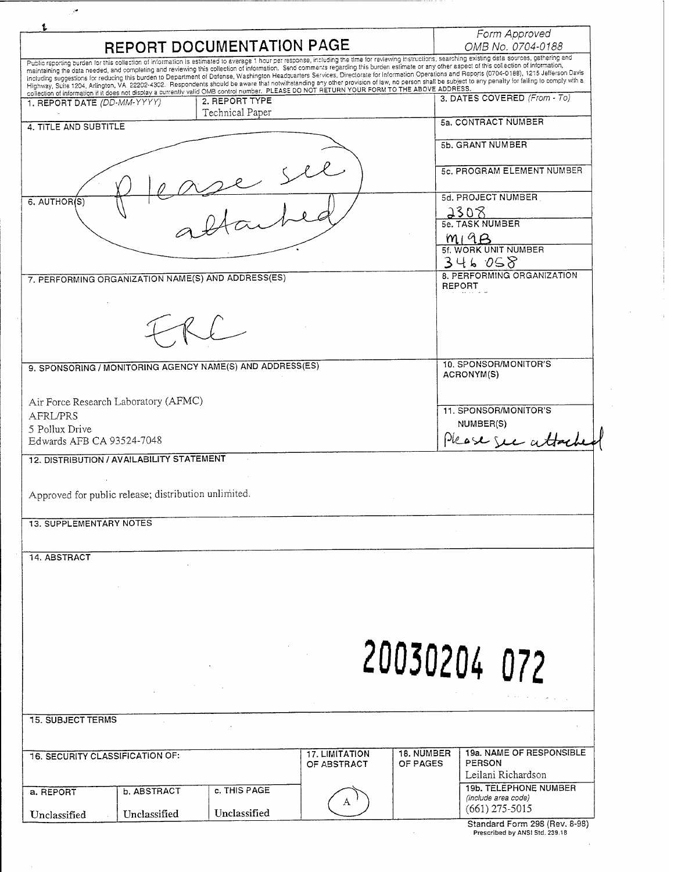|                                                                                                                                                                                                                                                                                                                                                                                                                                                                                                                                                      | Form Approved                                      |
|------------------------------------------------------------------------------------------------------------------------------------------------------------------------------------------------------------------------------------------------------------------------------------------------------------------------------------------------------------------------------------------------------------------------------------------------------------------------------------------------------------------------------------------------------|----------------------------------------------------|
| REPORT DOCUMENTATION PAGE                                                                                                                                                                                                                                                                                                                                                                                                                                                                                                                            | OMB No. 0704-0188                                  |
| Public reporting burden for this collection of information is estimated to average 1 hour per response, including the time for reviewing instructions, searching existing data sources, gathering and<br>maintaining the data needed, and completing and reviewing this collection of information. Send comments regarding this burden estimate or any other aspect of this collection of information,                                                                                                                                               |                                                    |
| including suggestions for reducing this burden to Department of Defense, Washington Headquarters Services, Directorate for Information Operations and Reports (0704-0188), 1215 Jefferson Davis<br>Highway, Suite 1204, Arlington, VA 22202-4302. Respondents should be aware that notwithstanding any other provision of law, no person shall be subject to any penalty for failing to comply with a<br>collection of information if it does not display a currently valid OMB control number. PLEASE DO NOT RETURN YOUR FORM TO THE ABOVE ADDRESS. |                                                    |
| 2. REPORT TYPE<br>1. REPORT DATE (DD-MM-YYYY)<br>Technical Paper                                                                                                                                                                                                                                                                                                                                                                                                                                                                                     | 3. DATES COVERED (From - To)                       |
| 4. TITLE AND SUBTITLE                                                                                                                                                                                                                                                                                                                                                                                                                                                                                                                                | 5a. CONTRACT NUMBER                                |
|                                                                                                                                                                                                                                                                                                                                                                                                                                                                                                                                                      | 5b, GRANT NUMBER                                   |
|                                                                                                                                                                                                                                                                                                                                                                                                                                                                                                                                                      | 5c. PROGRAM ELEMENT NUMBER                         |
| 6. AUTHOR(S)                                                                                                                                                                                                                                                                                                                                                                                                                                                                                                                                         | 5d. PROJECT NUMBER                                 |
|                                                                                                                                                                                                                                                                                                                                                                                                                                                                                                                                                      | 2308<br>5e. TASK NUMBER                            |
|                                                                                                                                                                                                                                                                                                                                                                                                                                                                                                                                                      | M19B                                               |
|                                                                                                                                                                                                                                                                                                                                                                                                                                                                                                                                                      | 5f. WORK UNIT NUMBER<br>346058                     |
| 7. PERFORMING ORGANIZATION NAME(S) AND ADDRESS(ES)                                                                                                                                                                                                                                                                                                                                                                                                                                                                                                   | 8. PERFORMING ORGANIZATION<br><b>REPORT</b>        |
|                                                                                                                                                                                                                                                                                                                                                                                                                                                                                                                                                      |                                                    |
|                                                                                                                                                                                                                                                                                                                                                                                                                                                                                                                                                      |                                                    |
|                                                                                                                                                                                                                                                                                                                                                                                                                                                                                                                                                      |                                                    |
| 9. SPONSORING / MONITORING AGENCY NAME(S) AND ADDRESS(ES)                                                                                                                                                                                                                                                                                                                                                                                                                                                                                            | 10. SPONSOR/MONITOR'S                              |
|                                                                                                                                                                                                                                                                                                                                                                                                                                                                                                                                                      | ACRONYM(S)                                         |
| Air Force Research Laboratory (AFMC)                                                                                                                                                                                                                                                                                                                                                                                                                                                                                                                 |                                                    |
| <b>AFRL/PRS</b>                                                                                                                                                                                                                                                                                                                                                                                                                                                                                                                                      | 11. SPONSOR/MONITOR'S<br>NUMBER(S)                 |
| 5 Pollux Drive<br>Edwards AFB CA 93524-7048                                                                                                                                                                                                                                                                                                                                                                                                                                                                                                          | Please see atta                                    |
| 12. DISTRIBUTION / AVAILABILITY STATEMENT                                                                                                                                                                                                                                                                                                                                                                                                                                                                                                            |                                                    |
|                                                                                                                                                                                                                                                                                                                                                                                                                                                                                                                                                      |                                                    |
| Approved for public release; distribution unlimited.                                                                                                                                                                                                                                                                                                                                                                                                                                                                                                 |                                                    |
| <b>13. SUPPLEMENTARY NOTES</b>                                                                                                                                                                                                                                                                                                                                                                                                                                                                                                                       |                                                    |
|                                                                                                                                                                                                                                                                                                                                                                                                                                                                                                                                                      |                                                    |
| 14. ABSTRACT                                                                                                                                                                                                                                                                                                                                                                                                                                                                                                                                         |                                                    |
|                                                                                                                                                                                                                                                                                                                                                                                                                                                                                                                                                      |                                                    |
|                                                                                                                                                                                                                                                                                                                                                                                                                                                                                                                                                      |                                                    |
|                                                                                                                                                                                                                                                                                                                                                                                                                                                                                                                                                      |                                                    |
|                                                                                                                                                                                                                                                                                                                                                                                                                                                                                                                                                      |                                                    |
|                                                                                                                                                                                                                                                                                                                                                                                                                                                                                                                                                      |                                                    |
|                                                                                                                                                                                                                                                                                                                                                                                                                                                                                                                                                      |                                                    |
|                                                                                                                                                                                                                                                                                                                                                                                                                                                                                                                                                      | 20030204 072                                       |
|                                                                                                                                                                                                                                                                                                                                                                                                                                                                                                                                                      |                                                    |
|                                                                                                                                                                                                                                                                                                                                                                                                                                                                                                                                                      |                                                    |
| <b>17. LIMITATION</b>                                                                                                                                                                                                                                                                                                                                                                                                                                                                                                                                | 19a. NAME OF RESPONSIBLE<br>18. NUMBER             |
| OF ABSTRACT                                                                                                                                                                                                                                                                                                                                                                                                                                                                                                                                          | PERSON<br>OF PAGES                                 |
| <b>15. SUBJECT TERMS</b><br><b>16. SECURITY CLASSIFICATION OF:</b><br>c. THIS PAGE                                                                                                                                                                                                                                                                                                                                                                                                                                                                   | Leilani Richardson<br><b>19b. TELEPHONE NUMBER</b> |
| b. ABSTRACT<br>a. REPORT<br>A<br>Unclassified<br>Unclassified<br>Unclassified                                                                                                                                                                                                                                                                                                                                                                                                                                                                        | (include area code)<br>$(661)$ 275-5015            |

 $\mathcal{L}^{\text{max}}_{\text{max}}$ 

 $\frac{1}{2}$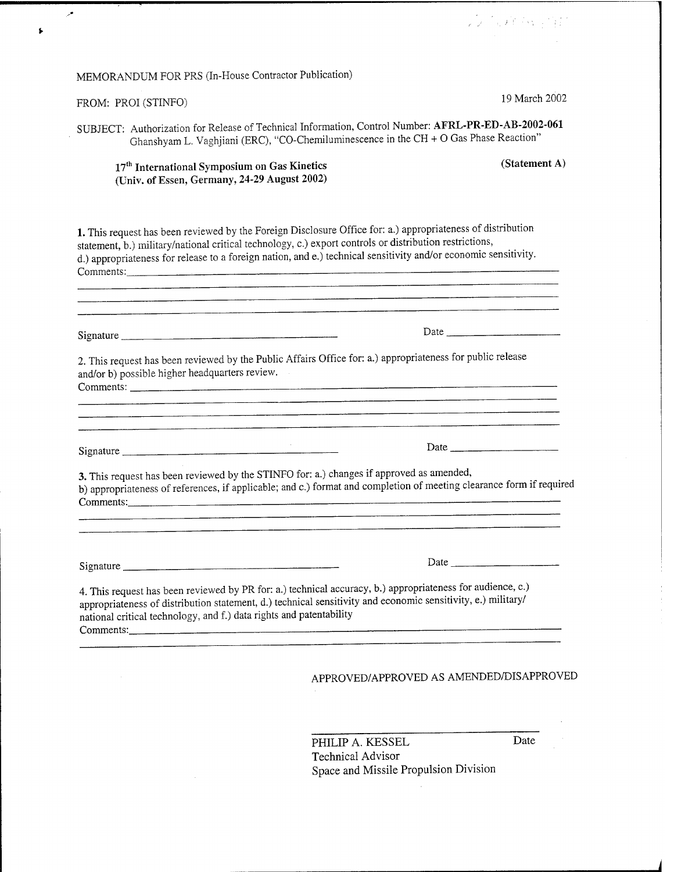## MEMORANDUM FOR PRS (In-House Contractor Publication)

## FROM: PROI (STINFO) \*

**A** 

 $\mathbf{L}$ 

9 March 2002

2011年第2回 SB

SUBJECT: Authorization for Release of Technical Information, Control Number: AFRL-PR-ED-AB-2002-061 Ghanshyam L. Vaghjiani (ERC), "CO-Chemiluminescence in the CH + 0 Gas Phase Reaction"

17<sup>th</sup> International Symposium on Gas Kinetics (Statement A) (Univ. of Essen, Germany, 24-29 August 2002)

1. This request has been reviewed by the Foreign Disclosure Office for: a.) appropriateness of distribution statement, b.) military/national critical technology, c.) export controls or distribution restrictions, d.) appropriateness for release to a foreign nation, and e.) technical sensitivity and/or economic sensitivity. Comments: : —

n de la companya de la companya de la companya de la companya de la companya de la companya de la companya de<br>La companya de la companya de la companya de la companya de la companya de la companya de la companya de la co Signature **Date** Date **Date** 2. This request has been reviewed by the Public Affairs Office for: a.) appropriateness for public release and/or b) possible higher headquarters review. Comments: \_ — <u> 1980 - 1980 - 1980 - 1980 - 1980 - 1980 - 1980 - 1980 - 1980 - 1980 - 1980 - 1980 - 1980 - 1980 - 1980 - 19</u> Signature . *'.* Date 3. This request has been reviewed by the STINFO for: a.) changes if approved as amended, b) appropriateness of references, if applicable; and c.) format and completion of meeting clearance form if required Comments: . — Signature <u>Date</u>

4. This request has been reviewed by PR for: a.) technical accuracy, b.) appropriateness for audience, c.) appropriateness of distribution statement, d.) technical sensitivity and economic sensitivity, e.) military/ national critical technology, and f.) data rights and patentability Comments: <u>experiments:</u> with the comments: the comments: the comments: the comments: the comments of the comments of the comments of the comments of the comments of the comments of the comments of the comments of the comm

## APPROVED/APPROVED AS AMENDED/DISAPPROVED

PHILIP A. KESSEL Date Technical Advisor Space and Missile Propulsion Division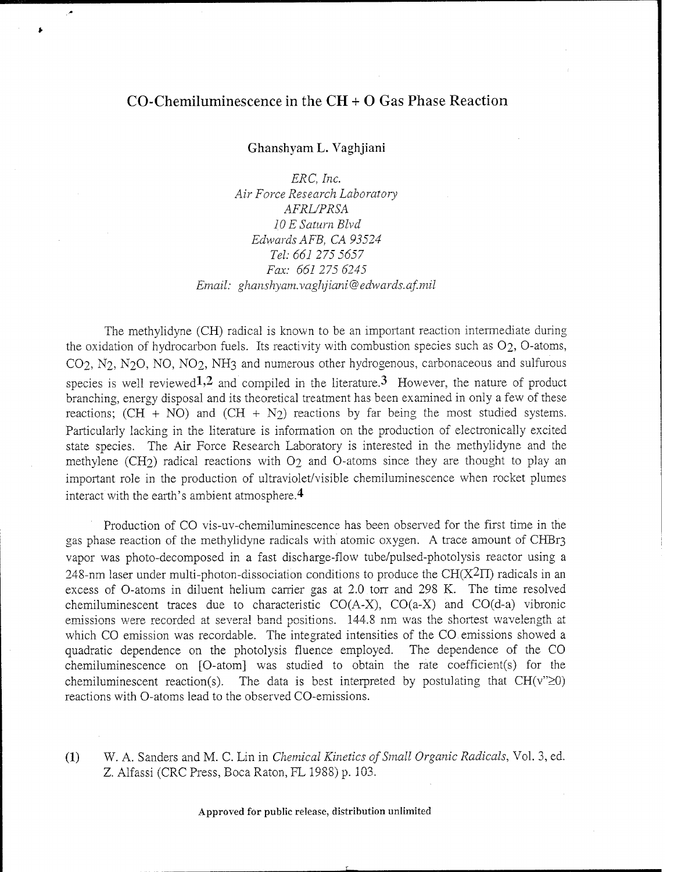## CO-Chemiluminescence in the CH + O Gas Phase Reaction

Ghanshyam L. Vaghjiani

*ERC, Inc. Air Force Research Laboratory AFRL/PRSA 10 E Saturn Blvd. Edwards AFB, CA 93524 Tel: 661 275 5657 Fax: 661275 6245 Email: ghanshyam.vaghjiani*@*edwards.af.mil*

The methylidyne (CH) radical is known to be an important reaction intermediate during the oxidation of hydrocarbon fuels. Its reactivity with combustion species such as  $O_2$ , O-atoms, CO2, N2, N2O, NO, NO2, NH3 and numerous other hydrogenous, carbonaceous and sulfurous species is well reviewed<sup>1,2</sup> and compiled in the literature.<sup>3</sup> However, the nature of product branching, energy disposal and its theoretical treatment has been examined in only a few of these reactions;  $(CH + NO)$  and  $(CH + N<sub>2</sub>)$  reactions by far being the most studied systems. Particularly lacking in the literature is information on the production of electronically excited state species. The Air Force Research Laboratory is interested in the methylidyne and the methylene (CH2) radical reactions with  $O<sub>2</sub>$  and O-atoms since they are thought to play an important role in the production of ultraviolet/visible chemiluminescence when rocket plumes interact with the earth's ambient atmosphere.4

Production of CO vis-uv-chemiluminescence has been observed for the first time in the gas phase reaction of the methylidyne radicals with atomic oxygen. A trace amount of CHBr3 vapor was photo-decomposed in a fast discharge-flow tube/pulsed-photolysis reactor using a 248-nm laser under multi-photon-dissociation conditions to produce the CH( $X^2\Pi$ ) radicals in an excess of O-atoms in diluent helium carrier gas at 2.0 torr and 298 K. The time resolved chemiluminescent traces due to characteristic  $CO(A-X)$ ,  $CO(a-X)$  and  $CO(d-a)$  vibronic emissions were recorded at several band positions. 144.8 nm was the shortest wavelength at which CO emission was recordable. The integrated intensities of the CO. emissions showed a quadratic dependence on the photolysis fluence employed. The dependence of the CO chemiluminescence on [O-atom] was studied to obtain the rate coefficient(s) for the chemiluminescent reaction(s). The data is best interpreted by postulating that  $CH(v''\geq 0)$ reactions with O-atoms lead to the observed CO-emissions.

(1) W. A. Sanders and M. C. Lin in *Chemical Kinetics ofSmall Organic Radicals,* Vol. 3, ed. Z. Alfassi (CRC Press, Boca Raton, FL 1988) p. 103.

Approved for public release, distribution unlimited